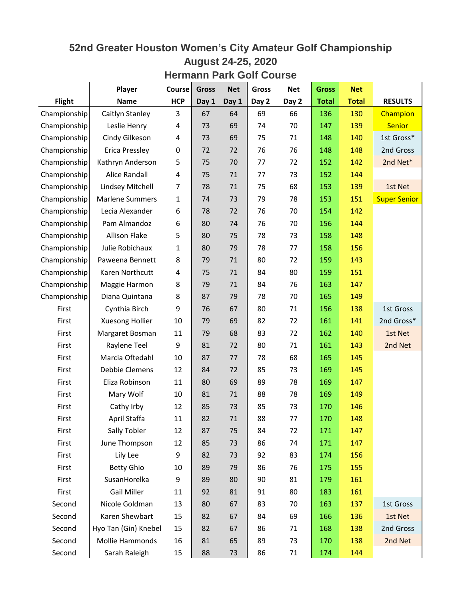## **52nd Greater Houston Women's City Amateur Golf Championship August 24-25, 2020**

## **Hermann Park Golf Course**

|               | Player                 | Course                  | <b>Gross</b> | <b>Net</b> | <b>Gross</b> | <b>Net</b> | <b>Gross</b> | <b>Net</b>   |                     |
|---------------|------------------------|-------------------------|--------------|------------|--------------|------------|--------------|--------------|---------------------|
| <b>Flight</b> | <b>Name</b>            | <b>HCP</b>              | Day 1        | Day 1      | Day 2        | Day 2      | <b>Total</b> | <b>Total</b> | <b>RESULTS</b>      |
| Championship  | Caitlyn Stanley        | 3                       | 67           | 64         | 69           | 66         | 136          | 130          | Champion            |
| Championship  | Leslie Henry           | 4                       | 73           | 69         | 74           | 70         | 147          | 139          | <b>Senior</b>       |
| Championship  | Cindy Gilkeson         | 4                       | 73           | 69         | 75           | 71         | 148          | 140          | 1st Gross*          |
| Championship  | Erica Pressley         | 0                       | 72           | 72         | 76           | 76         | 148          | 148          | 2nd Gross           |
| Championship  | Kathryn Anderson       | 5                       | 75           | 70         | 77           | 72         | 152          | 142          | 2nd Net*            |
| Championship  | Alice Randall          | $\overline{\mathbf{4}}$ | 75           | 71         | 77           | 73         | 152          | 144          |                     |
| Championship  | Lindsey Mitchell       | 7                       | 78           | 71         | 75           | 68         | 153          | 139          | 1st Net             |
| Championship  | <b>Marlene Summers</b> | 1                       | 74           | 73         | 79           | 78         | 153          | 151          | <b>Super Senior</b> |
| Championship  | Lecia Alexander        | 6                       | 78           | 72         | 76           | 70         | 154          | 142          |                     |
| Championship  | Pam Almandoz           | 6                       | 80           | 74         | 76           | 70         | 156          | 144          |                     |
| Championship  | Allison Flake          | 5                       | 80           | 75         | 78           | 73         | 158          | 148          |                     |
| Championship  | Julie Robichaux        | 1                       | 80           | 79         | 78           | 77         | 158          | 156          |                     |
| Championship  | Paweena Bennett        | 8                       | 79           | 71         | 80           | 72         | 159          | 143          |                     |
| Championship  | Karen Northcutt        | 4                       | 75           | 71         | 84           | 80         | 159          | 151          |                     |
| Championship  | Maggie Harmon          | 8                       | 79           | 71         | 84           | 76         | 163          | 147          |                     |
| Championship  | Diana Quintana         | 8                       | 87           | 79         | 78           | 70         | 165          | 149          |                     |
| First         | Cynthia Birch          | 9                       | 76           | 67         | 80           | 71         | 156          | 138          | 1st Gross           |
| First         | Xuesong Hollier        | 10                      | 79           | 69         | 82           | 72         | 161          | 141          | 2nd Gross*          |
| First         | Margaret Bosman        | 11                      | 79           | 68         | 83           | 72         | 162          | 140          | 1st Net             |
| First         | Raylene Teel           | 9                       | 81           | 72         | 80           | 71         | 161          | 143          | 2nd Net             |
| First         | Marcia Oftedahl        | 10                      | 87           | 77         | 78           | 68         | 165          | 145          |                     |
| First         | Debbie Clemens         | 12                      | 84           | 72         | 85           | 73         | 169          | 145          |                     |
| First         | Eliza Robinson         | 11                      | 80           | 69         | 89           | 78         | 169          | 147          |                     |
| First         | Mary Wolf              | 10                      | 81           | 71         | 88           | 78         | 169          | 149          |                     |
| First         | Cathy Irby             | 12                      | 85           | 73         | 85           | 73         | 170          | 146          |                     |
| First         | April Staffa           | 11                      | 82           | 71         | 88           | 77         | 170          | 148          |                     |
| First         | Sally Tobler           | 12                      | 87           | 75         | 84           | 72         | 171          | 147          |                     |
| First         | June Thompson          | 12                      | 85           | 73         | 86           | 74         | 171          | 147          |                     |
| First         | Lily Lee               | 9                       | 82           | 73         | 92           | 83         | 174          | 156          |                     |
| First         | <b>Betty Ghio</b>      | 10                      | 89           | 79         | 86           | 76         | 175          | 155          |                     |
| First         | SusanHorelka           | 9                       | 89           | 80         | 90           | 81         | 179          | 161          |                     |
| First         | <b>Gail Miller</b>     | 11                      | 92           | 81         | 91           | 80         | 183          | 161          |                     |
| Second        | Nicole Goldman         | 13                      | 80           | 67         | 83           | 70         | 163          | 137          | 1st Gross           |
| Second        | Karen Shewbart         | 15                      | 82           | 67         | 84           | 69         | 166          | 136          | 1st Net             |
| Second        | Hyo Tan (Gin) Knebel   | 15                      | 82           | 67         | 86           | 71         | 168          | 138          | 2nd Gross           |
| Second        | Mollie Hammonds        | 16                      | 81           | 65         | 89           | 73         | 170          | 138          | 2nd Net             |
| Second        | Sarah Raleigh          | 15                      | 88           | 73         | 86           | 71         | 174          | 144          |                     |